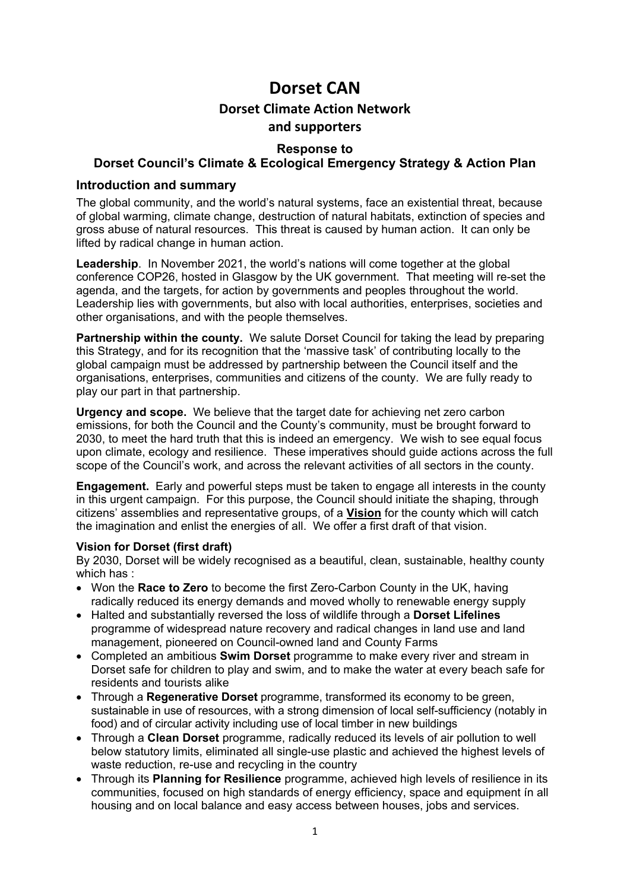# **Dorset CAN Dorset Climate Action Network and supporters**

## **Response to**

## **Dorset Council's Climate & Ecological Emergency Strategy & Action Plan**

#### **Introduction and summary**

The global community, and the world's natural systems, face an existential threat, because of global warming, climate change, destruction of natural habitats, extinction of species and gross abuse of natural resources. This threat is caused by human action. It can only be lifted by radical change in human action.

**Leadership**. In November 2021, the world's nations will come together at the global conference COP26, hosted in Glasgow by the UK government. That meeting will re-set the agenda, and the targets, for action by governments and peoples throughout the world. Leadership lies with governments, but also with local authorities, enterprises, societies and other organisations, and with the people themselves.

**Partnership within the county.** We salute Dorset Council for taking the lead by preparing this Strategy, and for its recognition that the 'massive task' of contributing locally to the global campaign must be addressed by partnership between the Council itself and the organisations, enterprises, communities and citizens of the county. We are fully ready to play our part in that partnership.

**Urgency and scope.** We believe that the target date for achieving net zero carbon emissions, for both the Council and the County's community, must be brought forward to 2030, to meet the hard truth that this is indeed an emergency. We wish to see equal focus upon climate, ecology and resilience. These imperatives should guide actions across the full scope of the Council's work, and across the relevant activities of all sectors in the county.

**Engagement.** Early and powerful steps must be taken to engage all interests in the county in this urgent campaign. For this purpose, the Council should initiate the shaping, through citizens' assemblies and representative groups, of a **Vision** for the county which will catch the imagination and enlist the energies of all. We offer a first draft of that vision.

#### **Vision for Dorset (first draft)**

By 2030, Dorset will be widely recognised as a beautiful, clean, sustainable, healthy county which has :

- Won the **Race to Zero** to become the first Zero-Carbon County in the UK, having radically reduced its energy demands and moved wholly to renewable energy supply
- Halted and substantially reversed the loss of wildlife through a **Dorset Lifelines** programme of widespread nature recovery and radical changes in land use and land management, pioneered on Council-owned land and County Farms
- Completed an ambitious **Swim Dorset** programme to make every river and stream in Dorset safe for children to play and swim, and to make the water at every beach safe for residents and tourists alike
- Through a **Regenerative Dorset** programme, transformed its economy to be green, sustainable in use of resources, with a strong dimension of local self-sufficiency (notably in food) and of circular activity including use of local timber in new buildings
- Through a **Clean Dorset** programme, radically reduced its levels of air pollution to well below statutory limits, eliminated all single-use plastic and achieved the highest levels of waste reduction, re-use and recycling in the country
- Through its **Planning for Resilience** programme, achieved high levels of resilience in its communities, focused on high standards of energy efficiency, space and equipment ín all housing and on local balance and easy access between houses, jobs and services.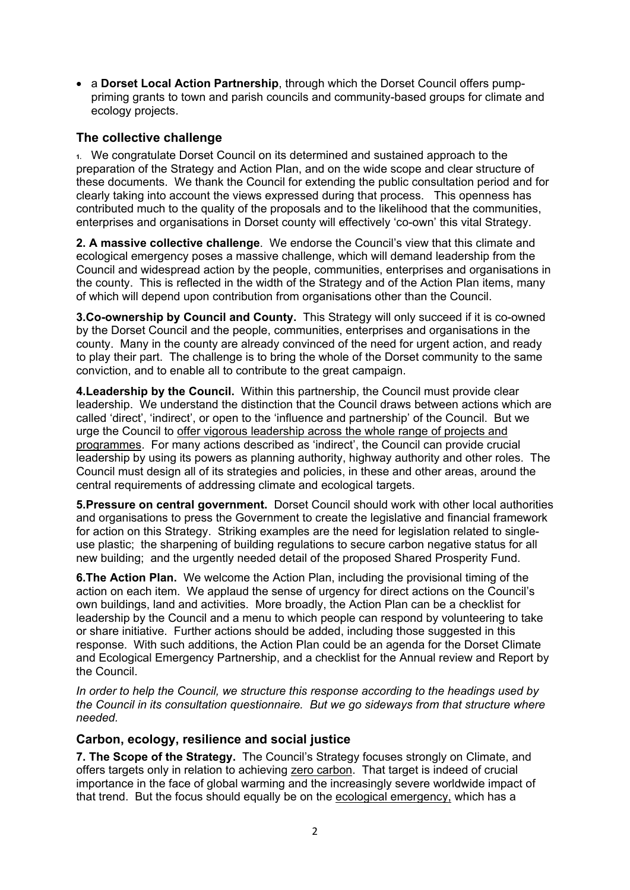• a **Dorset Local Action Partnership**, through which the Dorset Council offers pumppriming grants to town and parish councils and community-based groups for climate and ecology projects.

# **The collective challenge**

**1.** We congratulate Dorset Council on its determined and sustained approach to the preparation of the Strategy and Action Plan, and on the wide scope and clear structure of these documents. We thank the Council for extending the public consultation period and for clearly taking into account the views expressed during that process. This openness has contributed much to the quality of the proposals and to the likelihood that the communities, enterprises and organisations in Dorset county will effectively 'co-own' this vital Strategy.

**2. A massive collective challenge**. We endorse the Council's view that this climate and ecological emergency poses a massive challenge, which will demand leadership from the Council and widespread action by the people, communities, enterprises and organisations in the county. This is reflected in the width of the Strategy and of the Action Plan items, many of which will depend upon contribution from organisations other than the Council.

**3.Co-ownership by Council and County.** This Strategy will only succeed if it is co-owned by the Dorset Council and the people, communities, enterprises and organisations in the county.Many in the county are already convinced of the need for urgent action, and ready to play their part. The challenge is to bring the whole of the Dorset community to the same conviction, and to enable all to contribute to the great campaign.

**4.Leadership by the Council.** Within this partnership, the Council must provide clear leadership.We understand the distinction that the Council draws between actions which are called 'direct', 'indirect', or open to the 'influence and partnership' of the Council. But we urge the Council to offer vigorous leadership across the whole range of projects and programmes. For many actions described as 'indirect', the Council can provide crucial leadership by using its powers as planning authority, highway authority and other roles. The Council must design all of its strategies and policies, in these and other areas, around the central requirements of addressing climate and ecological targets.

**5.Pressure on central government.** Dorset Council should work with other local authorities and organisations to press the Government to create the legislative and financial framework for action on this Strategy. Striking examples are the need for legislation related to singleuse plastic; the sharpening of building regulations to secure carbon negative status for all new building; and the urgently needed detail of the proposed Shared Prosperity Fund.

**6.The Action Plan.** We welcome the Action Plan, including the provisional timing of the action on each item. We applaud the sense of urgency for direct actions on the Council's own buildings, land and activities. More broadly, the Action Plan can be a checklist for leadership by the Council and a menu to which people can respond by volunteering to take or share initiative. Further actions should be added, including those suggested in this response. With such additions, the Action Plan could be an agenda for the Dorset Climate and Ecological Emergency Partnership, and a checklist for the Annual review and Report by the Council.

*In order to help the Council, we structure this response according to the headings used by the Council in its consultation questionnaire. But we go sideways from that structure where needed.* 

## **Carbon, ecology, resilience and social justice**

**7. The Scope of the Strategy.** The Council's Strategy focuses strongly on Climate, and offers targets only in relation to achieving zero carbon. That target is indeed of crucial importance in the face of global warming and the increasingly severe worldwide impact of that trend. But the focus should equally be on the ecological emergency, which has a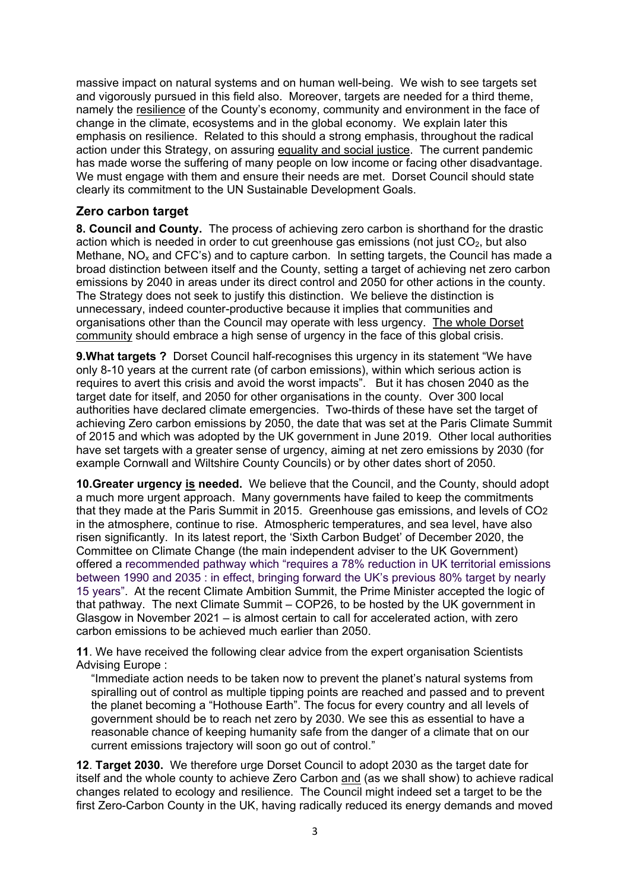massive impact on natural systems and on human well-being. We wish to see targets set and vigorously pursued in this field also. Moreover, targets are needed for a third theme, namely the resilience of the County's economy, community and environment in the face of change in the climate, ecosystems and in the global economy. We explain later this emphasis on resilience. Related to this should a strong emphasis, throughout the radical action under this Strategy, on assuring equality and social justice. The current pandemic has made worse the suffering of many people on low income or facing other disadvantage. We must engage with them and ensure their needs are met. Dorset Council should state clearly its commitment to the UN Sustainable Development Goals.

## **Zero carbon target**

**8. Council and County.** The process of achieving zero carbon is shorthand for the drastic action which is needed in order to cut greenhouse gas emissions (not just  $CO<sub>2</sub>$ , but also Methane,  $NO<sub>x</sub>$  and CFC's) and to capture carbon. In setting targets, the Council has made a broad distinction between itself and the County, setting a target of achieving net zero carbon emissions by 2040 in areas under its direct control and 2050 for other actions in the county. The Strategy does not seek to justify this distinction. We believe the distinction is unnecessary, indeed counter-productive because it implies that communities and organisations other than the Council may operate with less urgency. The whole Dorset community should embrace a high sense of urgency in the face of this global crisis.

**9. What targets ?** Dorset Council half-recognises this urgency in its statement "We have only 8-10 years at the current rate (of carbon emissions), within which serious action is requires to avert this crisis and avoid the worst impacts". But it has chosen 2040 as the target date for itself, and 2050 for other organisations in the county. Over 300 local authorities have declared climate emergencies. Two-thirds of these have set the target of achieving Zero carbon emissions by 2050, the date that was set at the Paris Climate Summit of 2015 and which was adopted by the UK government in June 2019. Other local authorities have set targets with a greater sense of urgency, aiming at net zero emissions by 2030 (for example Cornwall and Wiltshire County Councils) or by other dates short of 2050.

**10.Greater urgency is needed.** We believe that the Council, and the County, should adopt a much more urgent approach. Many governments have failed to keep the commitments that they made at the Paris Summit in 2015. Greenhouse gas emissions, and levels of CO2 in the atmosphere, continue to rise. Atmospheric temperatures, and sea level, have also risen significantly. In its latest report, the 'Sixth Carbon Budget' of December 2020, the Committee on Climate Change (the main independent adviser to the UK Government) offered a recommended pathway which "requires a 78% reduction in UK territorial emissions between 1990 and 2035 : in effect, bringing forward the UK's previous 80% target by nearly 15 years". At the recent Climate Ambition Summit, the Prime Minister accepted the logic of that pathway. The next Climate Summit – COP26, to be hosted by the UK government in Glasgow in November 2021 – is almost certain to call for accelerated action, with zero carbon emissions to be achieved much earlier than 2050.

**11**. We have received the following clear advice from the expert organisation Scientists Advising Europe :

"Immediate action needs to be taken now to prevent the planet's natural systems from spiralling out of control as multiple tipping points are reached and passed and to prevent the planet becoming a "Hothouse Earth". The focus for every country and all levels of government should be to reach net zero by 2030. We see this as essential to have a reasonable chance of keeping humanity safe from the danger of a climate that on our current emissions trajectory will soon go out of control."

**12**. **Target 2030.** We therefore urge Dorset Council to adopt 2030 as the target date for itself and the whole county to achieve Zero Carbon and (as we shall show) to achieve radical changes related to ecology and resilience. The Council might indeed set a target to be the first Zero-Carbon County in the UK, having radically reduced its energy demands and moved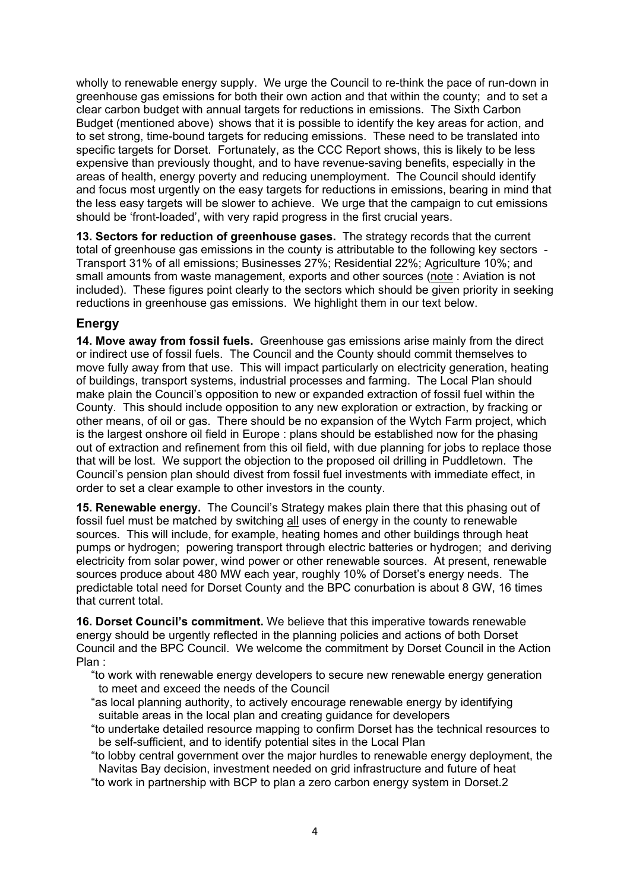wholly to renewable energy supply. We urge the Council to re-think the pace of run-down in greenhouse gas emissions for both their own action and that within the county; and to set a clear carbon budget with annual targets for reductions in emissions. The Sixth Carbon Budget (mentioned above) shows that it is possible to identify the key areas for action, and to set strong, time-bound targets for reducing emissions. These need to be translated into specific targets for Dorset. Fortunately, as the CCC Report shows, this is likely to be less expensive than previously thought, and to have revenue-saving benefits, especially in the areas of health, energy poverty and reducing unemployment. The Council should identify and focus most urgently on the easy targets for reductions in emissions, bearing in mind that the less easy targets will be slower to achieve. We urge that the campaign to cut emissions should be 'front-loaded', with very rapid progress in the first crucial years.

**13. Sectors for reduction of greenhouse gases.** The strategy records that the current total of greenhouse gas emissions in the county is attributable to the following key sectors Transport 31% of all emissions; Businesses 27%; Residential 22%; Agriculture 10%; and small amounts from waste management, exports and other sources (note : Aviation is not included). These figures point clearly to the sectors which should be given priority in seeking reductions in greenhouse gas emissions. We highlight them in our text below.

# **Energy**

**14. Move away from fossil fuels.** Greenhouse gas emissions arise mainly from the direct or indirect use of fossil fuels. The Council and the County should commit themselves to move fully away from that use. This will impact particularly on electricity generation, heating of buildings, transport systems, industrial processes and farming. The Local Plan should make plain the Council's opposition to new or expanded extraction of fossil fuel within the County. This should include opposition to any new exploration or extraction, by fracking or other means, of oil or gas. There should be no expansion of the Wytch Farm project, which is the largest onshore oil field in Europe : plans should be established now for the phasing out of extraction and refinement from this oil field, with due planning for jobs to replace those that will be lost. We support the objection to the proposed oil drilling in Puddletown. The Council's pension plan should divest from fossil fuel investments with immediate effect, in order to set a clear example to other investors in the county.

**15. Renewable energy.** The Council's Strategy makes plain there that this phasing out of fossil fuel must be matched by switching all uses of energy in the county to renewable sources. This will include, for example, heating homes and other buildings through heat pumps or hydrogen; powering transport through electric batteries or hydrogen; and deriving electricity from solar power, wind power or other renewable sources. At present, renewable sources produce about 480 MW each year, roughly 10% of Dorset's energy needs. The predictable total need for Dorset County and the BPC conurbation is about 8 GW, 16 times that current total.

**16. Dorset Council's commitment.** We believe that this imperative towards renewable energy should be urgently reflected in the planning policies and actions of both Dorset Council and the BPC Council. We welcome the commitment by Dorset Council in the Action Plan :

"to work with renewable energy developers to secure new renewable energy generation to meet and exceed the needs of the Council

- "as local planning authority, to actively encourage renewable energy by identifying suitable areas in the local plan and creating guidance for developers
- "to undertake detailed resource mapping to confirm Dorset has the technical resources to be self-sufficient, and to identify potential sites in the Local Plan

"to lobby central government over the major hurdles to renewable energy deployment, the Navitas Bay decision, investment needed on grid infrastructure and future of heat

"to work in partnership with BCP to plan a zero carbon energy system in Dorset.2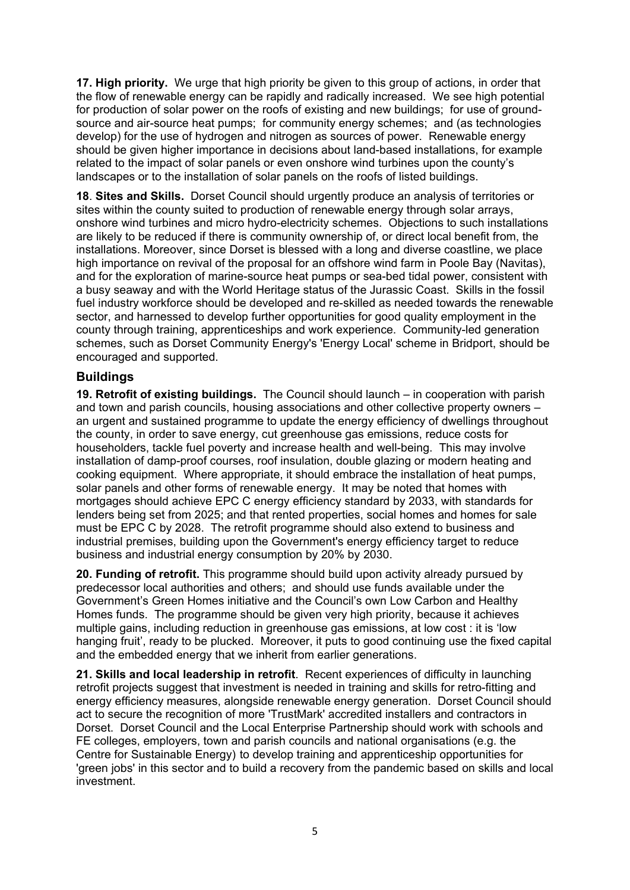**17. High priority.** We urge that high priority be given to this group of actions, in order that the flow of renewable energy can be rapidly and radically increased. We see high potential for production of solar power on the roofs of existing and new buildings; for use of groundsource and air-source heat pumps; for community energy schemes; and (as technologies develop) for the use of hydrogen and nitrogen as sources of power. Renewable energy should be given higher importance in decisions about land-based installations, for example related to the impact of solar panels or even onshore wind turbines upon the county's landscapes or to the installation of solar panels on the roofs of listed buildings.

**18**. **Sites and Skills.** Dorset Council should urgently produce an analysis of territories or sites within the county suited to production of renewable energy through solar arrays, onshore wind turbines and micro hydro-electricity schemes. Objections to such installations are likely to be reduced if there is community ownership of, or direct local benefit from, the installations. Moreover, since Dorset is blessed with a long and diverse coastline, we place high importance on revival of the proposal for an offshore wind farm in Poole Bay (Navitas), and for the exploration of marine-source heat pumps or sea-bed tidal power, consistent with a busy seaway and with the World Heritage status of the Jurassic Coast. Skills in the fossil fuel industry workforce should be developed and re-skilled as needed towards the renewable sector, and harnessed to develop further opportunities for good quality employment in the county through training, apprenticeships and work experience. Community-led generation schemes, such as Dorset Community Energy's 'Energy Local' scheme in Bridport, should be encouraged and supported.

## **Buildings**

**19. Retrofit of existing buildings.** The Council should launch – in cooperation with parish and town and parish councils, housing associations and other collective property owners – an urgent and sustained programme to update the energy efficiency of dwellings throughout the county, in order to save energy, cut greenhouse gas emissions, reduce costs for householders, tackle fuel poverty and increase health and well-being. This may involve installation of damp-proof courses, roof insulation, double glazing or modern heating and cooking equipment. Where appropriate, it should embrace the installation of heat pumps, solar panels and other forms of renewable energy. It may be noted that homes with mortgages should achieve EPC C energy efficiency standard by 2033, with standards for lenders being set from 2025; and that rented properties, social homes and homes for sale must be EPC C by 2028. The retrofit programme should also extend to business and industrial premises, building upon the Government's energy efficiency target to reduce business and industrial energy consumption by 20% by 2030.

**20. Funding of retrofit.** This programme should build upon activity already pursued by predecessor local authorities and others; and should use funds available under the Government's Green Homes initiative and the Council's own Low Carbon and Healthy Homes funds. The programme should be given very high priority, because it achieves multiple gains, including reduction in greenhouse gas emissions, at low cost : it is 'low hanging fruit', ready to be plucked. Moreover, it puts to good continuing use the fixed capital and the embedded energy that we inherit from earlier generations.

**21. Skills and local leadership in retrofit**. Recent experiences of difficulty in launching retrofit projects suggest that investment is needed in training and skills for retro-fitting and energy efficiency measures, alongside renewable energy generation. Dorset Council should act to secure the recognition of more 'TrustMark' accredited installers and contractors in Dorset. Dorset Council and the Local Enterprise Partnership should work with schools and FE colleges, employers, town and parish councils and national organisations (e.g. the Centre for Sustainable Energy) to develop training and apprenticeship opportunities for 'green jobs' in this sector and to build a recovery from the pandemic based on skills and local investment.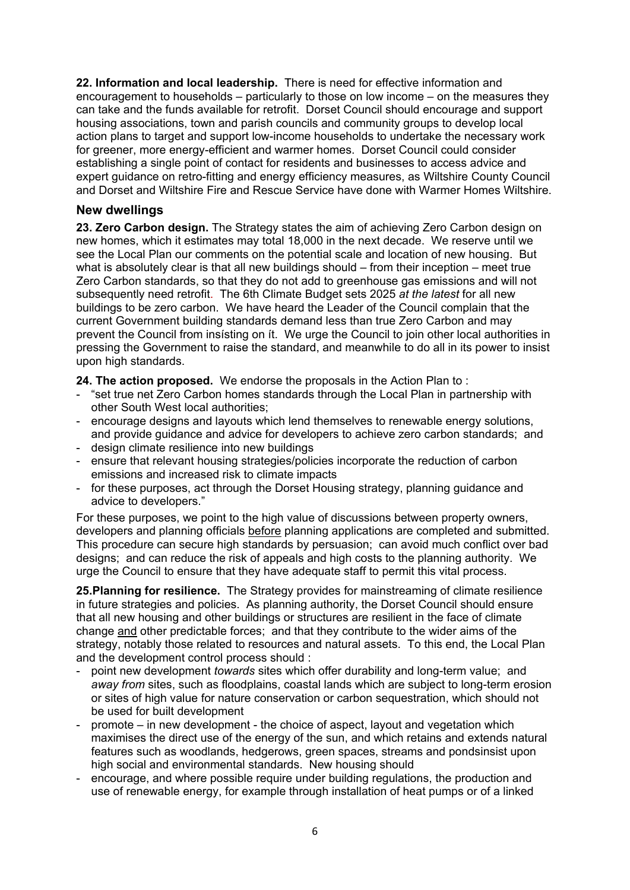**22. Information and local leadership.** There is need for effective information and encouragement to households – particularly to those on low income – on the measures they can take and the funds available for retrofit. Dorset Council should encourage and support housing associations, town and parish councils and community groups to develop local action plans to target and support low-income households to undertake the necessary work for greener, more energy-efficient and warmer homes. Dorset Council could consider establishing a single point of contact for residents and businesses to access advice and expert guidance on retro-fitting and energy efficiency measures, as Wiltshire County Council and Dorset and Wiltshire Fire and Rescue Service have done with Warmer Homes Wiltshire.

#### **New dwellings**

**23. Zero Carbon design.** The Strategy states the aim of achieving Zero Carbon design on new homes, which it estimates may total 18,000 in the next decade. We reserve until we see the Local Plan our comments on the potential scale and location of new housing. But what is absolutely clear is that all new buildings should – from their inception – meet true Zero Carbon standards, so that they do not add to greenhouse gas emissions and will not subsequently need retrofit. The 6th Climate Budget sets 2025 *at the latest* for all new buildings to be zero carbon. We have heard the Leader of the Council complain that the current Government building standards demand less than true Zero Carbon and may prevent the Council from insísting on ít. We urge the Council to join other local authorities in pressing the Government to raise the standard, and meanwhile to do all in its power to insist upon high standards.

**24. The action proposed.** We endorse the proposals in the Action Plan to :

- "set true net Zero Carbon homes standards through the Local Plan in partnership with other South West local authorities;
- encourage designs and layouts which lend themselves to renewable energy solutions, and provide guidance and advice for developers to achieve zero carbon standards; and
- design climate resilience into new buildings
- ensure that relevant housing strategies/policies incorporate the reduction of carbon emissions and increased risk to climate impacts
- for these purposes, act through the Dorset Housing strategy, planning guidance and advice to developers."

For these purposes, we point to the high value of discussions between property owners, developers and planning officials before planning applications are completed and submitted. This procedure can secure high standards by persuasion; can avoid much conflict over bad designs; and can reduce the risk of appeals and high costs to the planning authority. We urge the Council to ensure that they have adequate staff to permit this vital process.

**25.Planning for resilience.** The Strategy provides for mainstreaming of climate resilience in future strategies and policies. As planning authority, the Dorset Council should ensure that all new housing and other buildings or structures are resilient in the face of climate change and other predictable forces; and that they contribute to the wider aims of the strategy, notably those related to resources and natural assets. To this end, the Local Plan and the development control process should :

- point new development *towards* sites which offer durability and long-term value; and *away from* sites, such as floodplains, coastal lands which are subject to long-term erosion or sites of high value for nature conservation or carbon sequestration, which should not be used for built development
- promote in new development the choice of aspect, layout and vegetation which maximises the direct use of the energy of the sun, and which retains and extends natural features such as woodlands, hedgerows, green spaces, streams and pondsinsist upon high social and environmental standards. New housing should
- encourage, and where possible require under building regulations, the production and use of renewable energy, for example through installation of heat pumps or of a linked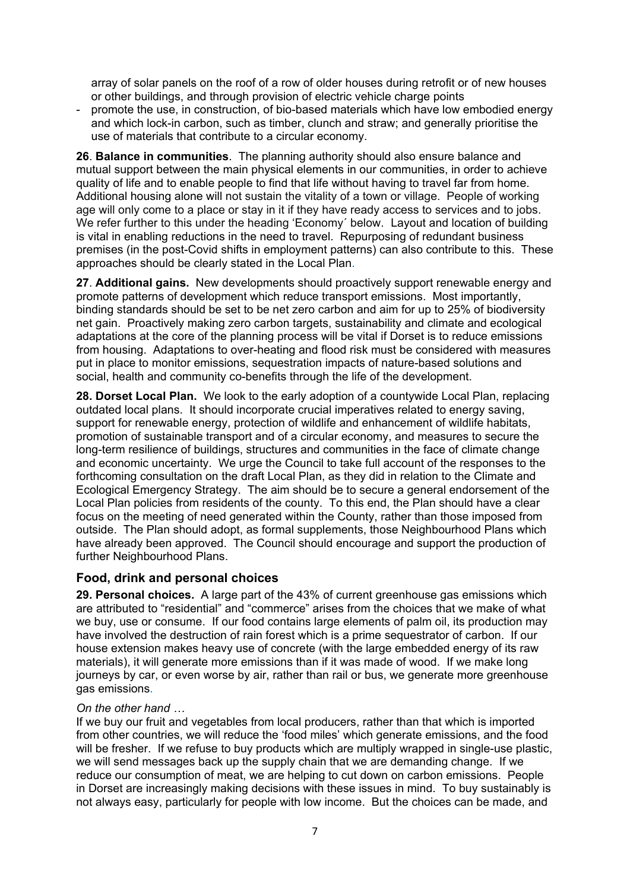array of solar panels on the roof of a row of older houses during retrofit or of new houses or other buildings, and through provision of electric vehicle charge points

- promote the use, in construction, of bio-based materials which have low embodied energy and which lock-in carbon, such as timber, clunch and straw; and generally prioritise the use of materials that contribute to a circular economy.

**26**. **Balance in communities**. The planning authority should also ensure balance and mutual support between the main physical elements in our communities, in order to achieve quality of life and to enable people to find that life without having to travel far from home. Additional housing alone will not sustain the vitality of a town or village. People of working age will only come to a place or stay in it if they have ready access to services and to jobs. We refer further to this under the heading 'Economy´ below. Layout and location of building is vital in enabling reductions in the need to travel. Repurposing of redundant business premises (in the post-Covid shifts in employment patterns) can also contribute to this. These approaches should be clearly stated in the Local Plan.

**27**. **Additional gains.** New developments should proactively support renewable energy and promote patterns of development which reduce transport emissions. Most importantly, binding standards should be set to be net zero carbon and aim for up to 25% of biodiversity net gain. Proactively making zero carbon targets, sustainability and climate and ecological adaptations at the core of the planning process will be vital if Dorset is to reduce emissions from housing. Adaptations to over-heating and flood risk must be considered with measures put in place to monitor emissions, sequestration impacts of nature-based solutions and social, health and community co-benefits through the life of the development.

**28. Dorset Local Plan.** We look to the early adoption of a countywide Local Plan, replacing outdated local plans. It should incorporate crucial imperatives related to energy saving, support for renewable energy, protection of wildlife and enhancement of wildlife habitats, promotion of sustainable transport and of a circular economy, and measures to secure the long-term resilience of buildings, structures and communities in the face of climate change and economic uncertainty. We urge the Council to take full account of the responses to the forthcoming consultation on the draft Local Plan, as they did in relation to the Climate and Ecological Emergency Strategy. The aim should be to secure a general endorsement of the Local Plan policies from residents of the county. To this end, the Plan should have a clear focus on the meeting of need generated within the County, rather than those imposed from outside. The Plan should adopt, as formal supplements, those Neighbourhood Plans which have already been approved. The Council should encourage and support the production of further Neighbourhood Plans.

#### **Food, drink and personal choices**

**29. Personal choices.** A large part of the 43% of current greenhouse gas emissions which are attributed to "residential" and "commerce" arises from the choices that we make of what we buy, use or consume. If our food contains large elements of palm oil, its production may have involved the destruction of rain forest which is a prime sequestrator of carbon. If our house extension makes heavy use of concrete (with the large embedded energy of its raw materials), it will generate more emissions than if it was made of wood. If we make long journeys by car, or even worse by air, rather than rail or bus, we generate more greenhouse gas emissions.

#### *On the other hand …*

If we buy our fruit and vegetables from local producers, rather than that which is imported from other countries, we will reduce the 'food miles' which generate emissions, and the food will be fresher. If we refuse to buy products which are multiply wrapped in single-use plastic, we will send messages back up the supply chain that we are demanding change. If we reduce our consumption of meat, we are helping to cut down on carbon emissions. People in Dorset are increasingly making decisions with these issues in mind. To buy sustainably is not always easy, particularly for people with low income. But the choices can be made, and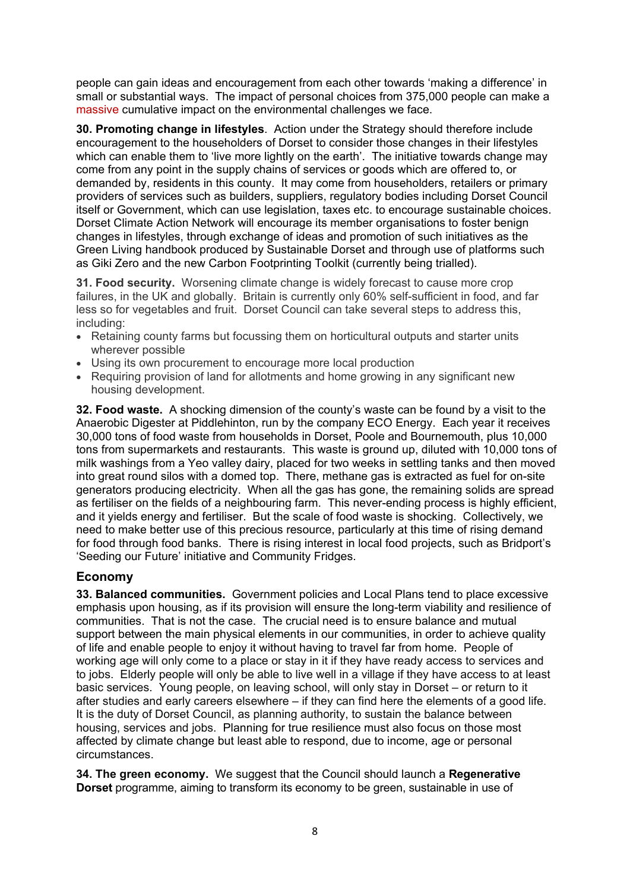people can gain ideas and encouragement from each other towards 'making a difference' in small or substantial ways. The impact of personal choices from 375,000 people can make a massive cumulative impact on the environmental challenges we face.

**30. Promoting change in lifestyles**. Action under the Strategy should therefore include encouragement to the householders of Dorset to consider those changes in their lifestyles which can enable them to 'live more lightly on the earth'. The initiative towards change may come from any point in the supply chains of services or goods which are offered to, or demanded by, residents in this county. It may come from householders, retailers or primary providers of services such as builders, suppliers, regulatory bodies including Dorset Council itself or Government, which can use legislation, taxes etc. to encourage sustainable choices. Dorset Climate Action Network will encourage its member organisations to foster benign changes in lifestyles, through exchange of ideas and promotion of such initiatives as the Green Living handbook produced by Sustainable Dorset and through use of platforms such as Giki Zero and the new Carbon Footprinting Toolkit (currently being trialled).

**31. Food security.** Worsening climate change is widely forecast to cause more crop failures, in the UK and globally. Britain is currently only 60% self-sufficient in food, and far less so for vegetables and fruit. Dorset Council can take several steps to address this, including:

- Retaining county farms but focussing them on horticultural outputs and starter units wherever possible
- Using its own procurement to encourage more local production
- Requiring provision of land for allotments and home growing in any significant new housing development.

**32. Food waste.** A shocking dimension of the county's waste can be found by a visit to the Anaerobic Digester at Piddlehinton, run by the company ECO Energy. Each year it receives 30,000 tons of food waste from households in Dorset, Poole and Bournemouth, plus 10,000 tons from supermarkets and restaurants. This waste is ground up, diluted with 10,000 tons of milk washings from a Yeo valley dairy, placed for two weeks in settling tanks and then moved into great round silos with a domed top. There, methane gas is extracted as fuel for on-site generators producing electricity. When all the gas has gone, the remaining solids are spread as fertiliser on the fields of a neighbouring farm. This never-ending process is highly efficient, and it yields energy and fertiliser. But the scale of food waste is shocking. Collectively, we need to make better use of this precious resource, particularly at this time of rising demand for food through food banks. There is rising interest in local food projects, such as Bridport's 'Seeding our Future' initiative and Community Fridges.

#### **Economy**

**33. Balanced communities.** Government policies and Local Plans tend to place excessive emphasis upon housing, as if its provision will ensure the long-term viability and resilience of communities. That is not the case. The crucial need is to ensure balance and mutual support between the main physical elements in our communities, in order to achieve quality of life and enable people to enjoy it without having to travel far from home. People of working age will only come to a place or stay in it if they have ready access to services and to jobs. Elderly people will only be able to live well in a village if they have access to at least basic services. Young people, on leaving school, will only stay in Dorset – or return to it after studies and early careers elsewhere – if they can find here the elements of a good life. It is the duty of Dorset Council, as planning authority, to sustain the balance between housing, services and jobs. Planning for true resilience must also focus on those most affected by climate change but least able to respond, due to income, age or personal circumstances.

**34. The green economy.** We suggest that the Council should launch a **Regenerative Dorset** programme, aiming to transform its economy to be green, sustainable in use of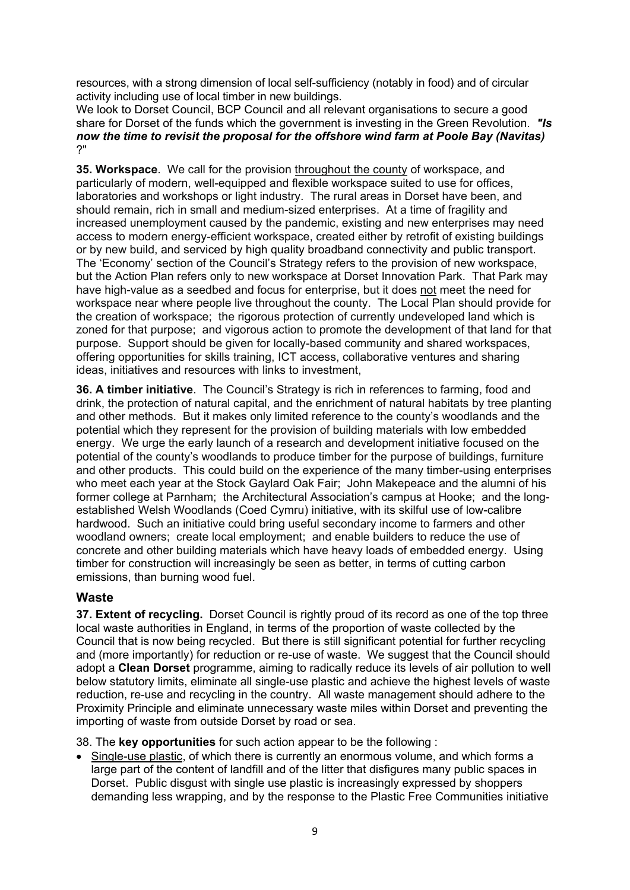resources, with a strong dimension of local self-sufficiency (notably in food) and of circular activity including use of local timber in new buildings.

We look to Dorset Council, BCP Council and all relevant organisations to secure a good share for Dorset of the funds which the government is investing in the Green Revolution. *"Is now the time to revisit the proposal for the offshore wind farm at Poole Bay (Navitas)*  ?"

**35. Workspace**. We call for the provision throughout the county of workspace, and particularly of modern, well-equipped and flexible workspace suited to use for offices, laboratories and workshops or light industry. The rural areas in Dorset have been, and should remain, rich in small and medium-sized enterprises. At a time of fragility and increased unemployment caused by the pandemic, existing and new enterprises may need access to modern energy-efficient workspace, created either by retrofit of existing buildings or by new build, and serviced by high quality broadband connectivity and public transport. The 'Economy' section of the Council's Strategy refers to the provision of new workspace, but the Action Plan refers only to new workspace at Dorset Innovation Park. That Park may have high-value as a seedbed and focus for enterprise, but it does not meet the need for workspace near where people live throughout the county. The Local Plan should provide for the creation of workspace; the rigorous protection of currently undeveloped land which is zoned for that purpose; and vigorous action to promote the development of that land for that purpose. Support should be given for locally-based community and shared workspaces, offering opportunities for skills training, ICT access, collaborative ventures and sharing ideas, initiatives and resources with links to investment,

**36. A timber initiative**. The Council's Strategy is rich in references to farming, food and drink, the protection of natural capital, and the enrichment of natural habitats by tree planting and other methods. But it makes only limited reference to the county's woodlands and the potential which they represent for the provision of building materials with low embedded energy. We urge the early launch of a research and development initiative focused on the potential of the county's woodlands to produce timber for the purpose of buildings, furniture and other products. This could build on the experience of the many timber-using enterprises who meet each year at the Stock Gaylard Oak Fair; John Makepeace and the alumni of his former college at Parnham; the Architectural Association's campus at Hooke; and the longestablished Welsh Woodlands (Coed Cymru) initiative, with its skilful use of low-calibre hardwood. Such an initiative could bring useful secondary income to farmers and other woodland owners; create local employment; and enable builders to reduce the use of concrete and other building materials which have heavy loads of embedded energy. Using timber for construction will increasingly be seen as better, in terms of cutting carbon emissions, than burning wood fuel.

## **Waste**

**37. Extent of recycling.** Dorset Council is rightly proud of its record as one of the top three local waste authorities in England, in terms of the proportion of waste collected by the Council that is now being recycled. But there is still significant potential for further recycling and (more importantly) for reduction or re-use of waste. We suggest that the Council should adopt a **Clean Dorset** programme, aiming to radically reduce its levels of air pollution to well below statutory limits, eliminate all single-use plastic and achieve the highest levels of waste reduction, re-use and recycling in the country. All waste management should adhere to the Proximity Principle and eliminate unnecessary waste miles within Dorset and preventing the importing of waste from outside Dorset by road or sea.

38. The **key opportunities** for such action appear to be the following :

• Single-use plastic, of which there is currently an enormous volume, and which forms a large part of the content of landfill and of the litter that disfigures many public spaces in Dorset. Public disgust with single use plastic is increasingly expressed by shoppers demanding less wrapping, and by the response to the Plastic Free Communities initiative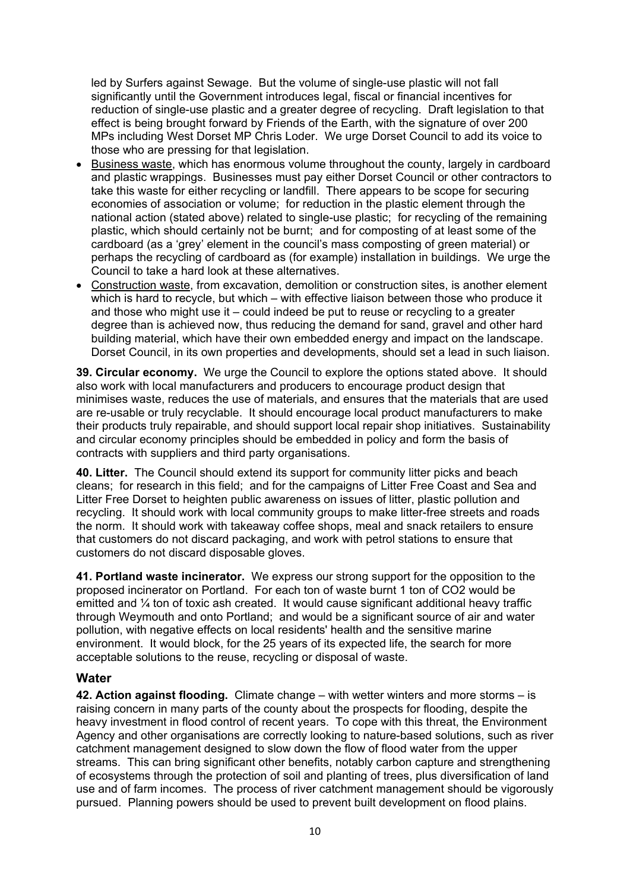led by Surfers against Sewage. But the volume of single-use plastic will not fall significantly until the Government introduces legal, fiscal or financial incentives for reduction of single-use plastic and a greater degree of recycling. Draft legislation to that effect is being brought forward by Friends of the Earth, with the signature of over 200 MPs including West Dorset MP Chris Loder. We urge Dorset Council to add its voice to those who are pressing for that legislation.

- Business waste, which has enormous volume throughout the county, largely in cardboard and plastic wrappings. Businesses must pay either Dorset Council or other contractors to take this waste for either recycling or landfill. There appears to be scope for securing economies of association or volume; for reduction in the plastic element through the national action (stated above) related to single-use plastic; for recycling of the remaining plastic, which should certainly not be burnt; and for composting of at least some of the cardboard (as a 'grey' element in the council's mass composting of green material) or perhaps the recycling of cardboard as (for example) installation in buildings. We urge the Council to take a hard look at these alternatives.
- Construction waste, from excavation, demolition or construction sites, is another element which is hard to recycle, but which – with effective liaison between those who produce it and those who might use it – could indeed be put to reuse or recycling to a greater degree than is achieved now, thus reducing the demand for sand, gravel and other hard building material, which have their own embedded energy and impact on the landscape. Dorset Council, in its own properties and developments, should set a lead in such liaison.

**39. Circular economy.** We urge the Council to explore the options stated above. It should also work with local manufacturers and producers to encourage product design that minimises waste, reduces the use of materials, and ensures that the materials that are used are re-usable or truly recyclable. It should encourage local product manufacturers to make their products truly repairable, and should support local repair shop initiatives. Sustainability and circular economy principles should be embedded in policy and form the basis of contracts with suppliers and third party organisations.

**40. Litter.** The Council should extend its support for community litter picks and beach cleans; for research in this field; and for the campaigns of Litter Free Coast and Sea and Litter Free Dorset to heighten public awareness on issues of litter, plastic pollution and recycling. It should work with local community groups to make litter-free streets and roads the norm. It should work with takeaway coffee shops, meal and snack retailers to ensure that customers do not discard packaging, and work with petrol stations to ensure that customers do not discard disposable gloves.

**41. Portland waste incinerator.** We express our strong support for the opposition to the proposed incinerator on Portland. For each ton of waste burnt 1 ton of CO2 would be emitted and ¼ ton of toxic ash created. It would cause significant additional heavy traffic through Weymouth and onto Portland; and would be a significant source of air and water pollution, with negative effects on local residents' health and the sensitive marine environment. It would block, for the 25 years of its expected life, the search for more acceptable solutions to the reuse, recycling or disposal of waste.

#### **Water**

**42. Action against flooding.** Climate change – with wetter winters and more storms – is raising concern in many parts of the county about the prospects for flooding, despite the heavy investment in flood control of recent years. To cope with this threat, the Environment Agency and other organisations are correctly looking to nature-based solutions, such as river catchment management designed to slow down the flow of flood water from the upper streams. This can bring significant other benefits, notably carbon capture and strengthening of ecosystems through the protection of soil and planting of trees, plus diversification of land use and of farm incomes. The process of river catchment management should be vigorously pursued. Planning powers should be used to prevent built development on flood plains.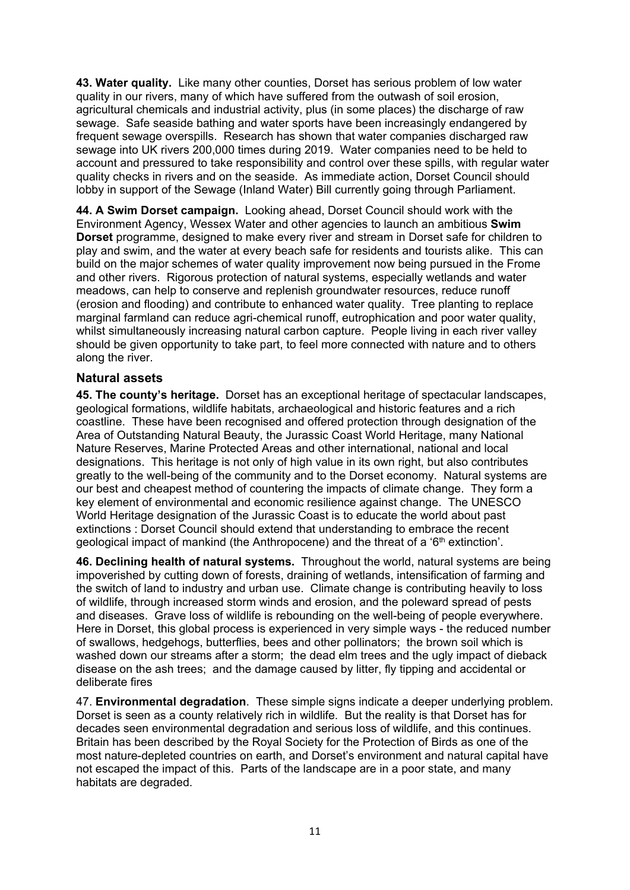**43. Water quality.** Like many other counties, Dorset has serious problem of low water quality in our rivers, many of which have suffered from the outwash of soil erosion, agricultural chemicals and industrial activity, plus (in some places) the discharge of raw sewage. Safe seaside bathing and water sports have been increasingly endangered by frequent sewage overspills. Research has shown that water companies discharged raw sewage into UK rivers 200,000 times during 2019. Water companies need to be held to account and pressured to take responsibility and control over these spills, with regular water quality checks in rivers and on the seaside. As immediate action, Dorset Council should lobby in support of the Sewage (Inland Water) Bill currently going through Parliament.

**44. A Swim Dorset campaign.** Looking ahead, Dorset Council should work with the Environment Agency, Wessex Water and other agencies to launch an ambitious **Swim Dorset** programme, designed to make every river and stream in Dorset safe for children to play and swim, and the water at every beach safe for residents and tourists alike. This can build on the major schemes of water quality improvement now being pursued in the Frome and other rivers. Rigorous protection of natural systems, especially wetlands and water meadows, can help to conserve and replenish groundwater resources, reduce runoff (erosion and flooding) and contribute to enhanced water quality. Tree planting to replace marginal farmland can reduce agri-chemical runoff, eutrophication and poor water quality, whilst simultaneously increasing natural carbon capture. People living in each river valley should be given opportunity to take part, to feel more connected with nature and to others along the river.

#### **Natural assets**

**45. The county's heritage.** Dorset has an exceptional heritage of spectacular landscapes, geological formations, wildlife habitats, archaeological and historic features and a rich coastline. These have been recognised and offered protection through designation of the Area of Outstanding Natural Beauty, the Jurassic Coast World Heritage, many National Nature Reserves, Marine Protected Areas and other international, national and local designations. This heritage is not only of high value in its own right, but also contributes greatly to the well-being of the community and to the Dorset economy. Natural systems are our best and cheapest method of countering the impacts of climate change. They form a key element of environmental and economic resilience against change. The UNESCO World Heritage designation of the Jurassic Coast is to educate the world about past extinctions : Dorset Council should extend that understanding to embrace the recent geological impact of mankind (the Anthropocene) and the threat of a '6th extinction'.

**46. Declining health of natural systems.** Throughout the world, natural systems are being impoverished by cutting down of forests, draining of wetlands, intensification of farming and the switch of land to industry and urban use. Climate change is contributing heavily to loss of wildlife, through increased storm winds and erosion, and the poleward spread of pests and diseases.Grave loss of wildlife is rebounding on the well-being of people everywhere. Here in Dorset, this global process is experienced in very simple ways - the reduced number of swallows, hedgehogs, butterflies, bees and other pollinators; the brown soil which is washed down our streams after a storm; the dead elm trees and the ugly impact of dieback disease on the ash trees; and the damage caused by litter, fly tipping and accidental or deliberate fires

47. **Environmental degradation**. These simple signs indicate a deeper underlying problem. Dorset is seen as a county relatively rich in wildlife. But the reality is that Dorset has for decades seen environmental degradation and serious loss of wildlife, and this continues. Britain has been described by the Royal Society for the Protection of Birds as one of the most nature-depleted countries on earth, and Dorset's environment and natural capital have not escaped the impact of this. Parts of the landscape are in a poor state, and many habitats are degraded.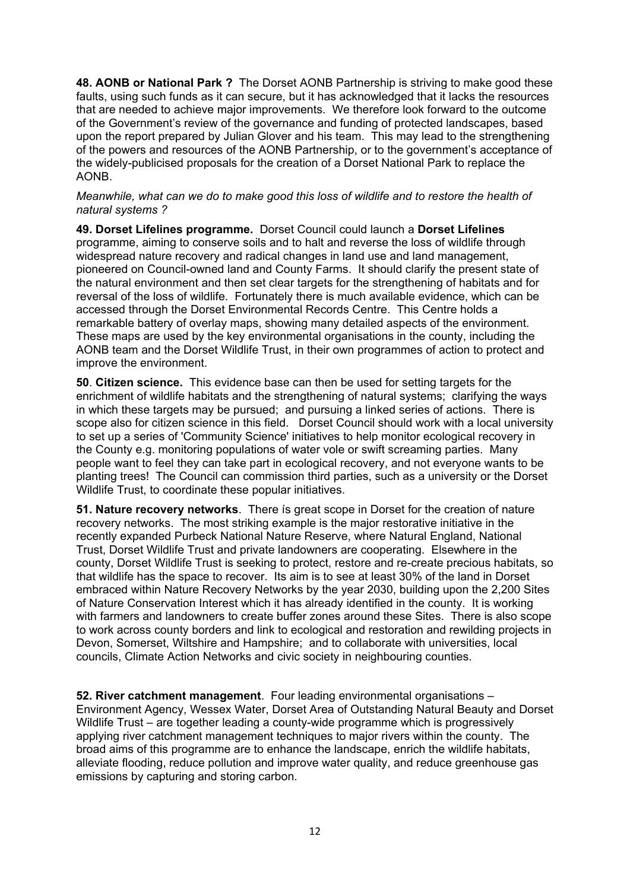**48. AONB or National Park ?** The Dorset AONB Partnership is striving to make good these faults, using such funds as it can secure, but it has acknowledged that it lacks the resources that are needed to achieve major improvements. We therefore look forward to the outcome of the Government's review of the governance and funding of protected landscapes, based upon the report prepared by Julian Glover and his team. This may lead to the strengthening of the powers and resources of the AONB Partnership, or to the government's acceptance of the widely-publicised proposals for the creation of a Dorset National Park to replace the AONB.

#### *Meanwhile, what can we do to make good this loss of wildlife and to restore the health of natural systems ?*

**49. Dorset Lifelines programme.** Dorset Council could launch a **Dorset Lifelines** programme, aiming to conserve soils and to halt and reverse the loss of wildlife through widespread nature recovery and radical changes in land use and land management, pioneered on Council-owned land and County Farms. It should clarify the present state of the natural environment and then set clear targets for the strengthening of habitats and for reversal of the loss of wildlife. Fortunately there is much available evidence, which can be accessed through the Dorset Environmental Records Centre. This Centre holds a remarkable battery of overlay maps, showing many detailed aspects of the environment. These maps are used by the key environmental organisations in the county, including the AONB team and the Dorset Wildlife Trust, in their own programmes of action to protect and improve the environment.

**50**. **Citizen science.** This evidence base can then be used for setting targets for the enrichment of wildlife habitats and the strengthening of natural systems; clarifying the ways in which these targets may be pursued; and pursuing a linked series of actions. There is scope also for citizen science in this field. Dorset Council should work with a local university to set up a series of 'Community Science' initiatives to help monitor ecological recovery in the County e.g. monitoring populations of water vole or swift screaming parties. Many people want to feel they can take part in ecological recovery, and not everyone wants to be planting trees! The Council can commission third parties, such as a university or the Dorset Wildlife Trust, to coordinate these popular initiatives.

**51. Nature recovery networks**. There ís great scope in Dorset for the creation of nature recovery networks. The most striking example is the major restorative initiative in the recently expanded Purbeck National Nature Reserve, where Natural England, National Trust, Dorset Wildlife Trust and private landowners are cooperating. Elsewhere in the county, Dorset Wildlife Trust is seeking to protect, restore and re-create precious habitats, so that wildlife has the space to recover. Its aim is to see at least 30% of the land in Dorset embraced within Nature Recovery Networks by the year 2030, building upon the 2,200 Sites of Nature Conservation Interest which it has already identified in the county. It is working with farmers and landowners to create buffer zones around these Sites. There is also scope to work across county borders and link to ecological and restoration and rewilding projects in Devon, Somerset, Wiltshire and Hampshire; and to collaborate with universities, local councils, Climate Action Networks and civic society in neighbouring counties.

**52. River catchment management**. Four leading environmental organisations – Environment Agency, Wessex Water, Dorset Area of Outstanding Natural Beauty and Dorset Wildlife Trust – are together leading a county-wide programme which is progressively applying river catchment management techniques to major rivers within the county. The broad aims of this programme are to enhance the landscape, enrich the wildlife habitats, alleviate flooding, reduce pollution and improve water quality, and reduce greenhouse gas emissions by capturing and storing carbon.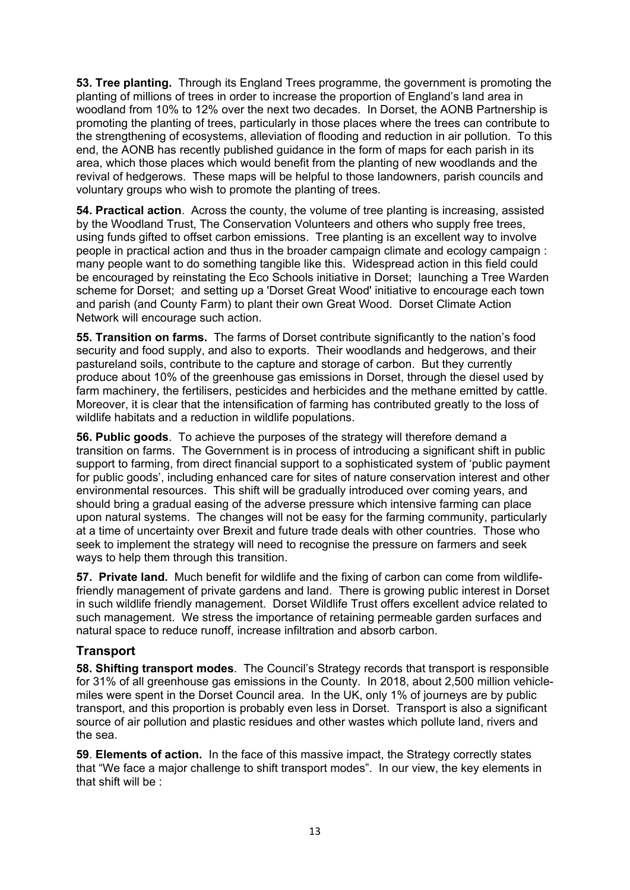**53. Tree planting.** Through its England Trees programme, the government is promoting the planting of millions of trees in order to increase the proportion of England's land area in woodland from 10% to 12% over the next two decades. In Dorset, the AONB Partnership is promoting the planting of trees, particularly in those places where the trees can contribute to the strengthening of ecosystems, alleviation of flooding and reduction in air pollution. To this end, the AONB has recently published guidance in the form of maps for each parish in its area, which those places which would benefit from the planting of new woodlands and the revival of hedgerows. These maps will be helpful to those landowners, parish councils and voluntary groups who wish to promote the planting of trees.

**54. Practical action**. Across the county, the volume of tree planting is increasing, assisted by the Woodland Trust, The Conservation Volunteers and others who supply free trees, using funds gifted to offset carbon emissions. Tree planting is an excellent way to involve people in practical action and thus in the broader campaign climate and ecology campaign : many people want to do something tangible like this. Widespread action in this field could be encouraged by reinstating the Eco Schools initiative in Dorset; launching a Tree Warden scheme for Dorset; and setting up a 'Dorset Great Wood' initiative to encourage each town and parish (and County Farm) to plant their own Great Wood. Dorset Climate Action Network will encourage such action.

**55. Transition on farms.** The farms of Dorset contribute significantly to the nation's food security and food supply, and also to exports. Their woodlands and hedgerows, and their pastureland soils, contribute to the capture and storage of carbon. But they currently produce about 10% of the greenhouse gas emissions in Dorset, through the diesel used by farm machinery, the fertilisers, pesticides and herbicides and the methane emitted by cattle. Moreover, it is clear that the intensification of farming has contributed greatly to the loss of wildlife habitats and a reduction in wildlife populations.

**56. Public goods**. To achieve the purposes of the strategy will therefore demand a transition on farms. The Government is in process of introducing a significant shift in public support to farming, from direct financial support to a sophisticated system of 'public payment for public goods', including enhanced care for sites of nature conservation interest and other environmental resources. This shift will be gradually introduced over coming years, and should bring a gradual easing of the adverse pressure which intensive farming can place upon natural systems. The changes will not be easy for the farming community, particularly at a time of uncertainty over Brexit and future trade deals with other countries. Those who seek to implement the strategy will need to recognise the pressure on farmers and seek ways to help them through this transition.

**57. Private land.** Much benefit for wildlife and the fixing of carbon can come from wildlifefriendly management of private gardens and land. There is growing public interest in Dorset in such wildlife friendly management. Dorset Wildlife Trust offers excellent advice related to such management. We stress the importance of retaining permeable garden surfaces and natural space to reduce runoff, increase infiltration and absorb carbon.

## **Transport**

**58. Shifting transport modes**. The Council's Strategy records that transport is responsible for 31% of all greenhouse gas emissions in the County. In 2018, about 2,500 million vehiclemiles were spent in the Dorset Council area. In the UK, only 1% of journeys are by public transport, and this proportion is probably even less in Dorset. Transport is also a significant source of air pollution and plastic residues and other wastes which pollute land, rivers and the sea.

**59**. **Elements of action.** In the face of this massive impact, the Strategy correctly states that "We face a major challenge to shift transport modes". In our view, the key elements in that shift will be :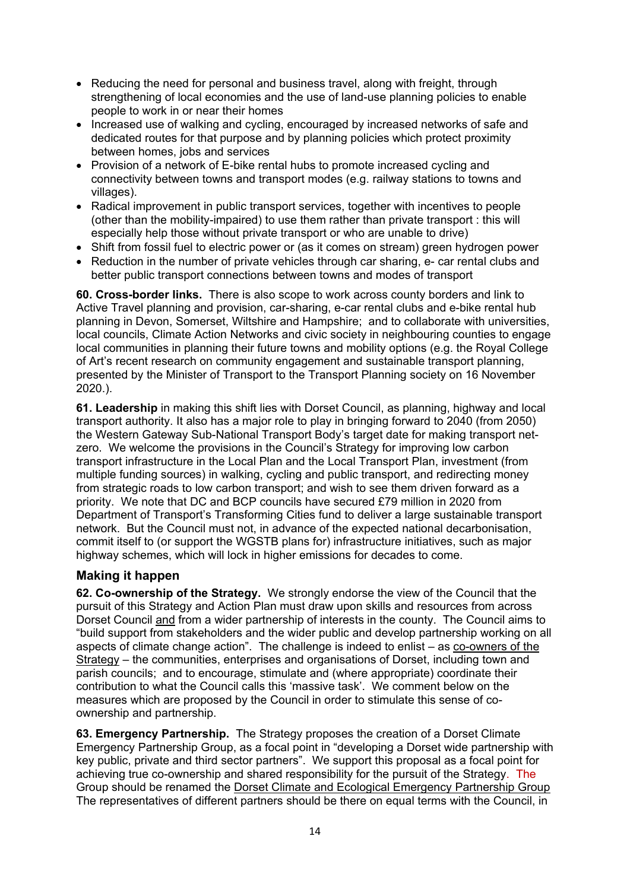- Reducing the need for personal and business travel, along with freight, through strengthening of local economies and the use of land-use planning policies to enable people to work in or near their homes
- Increased use of walking and cycling, encouraged by increased networks of safe and dedicated routes for that purpose and by planning policies which protect proximity between homes, jobs and services
- Provision of a network of E-bike rental hubs to promote increased cycling and connectivity between towns and transport modes (e.g. railway stations to towns and villages).
- Radical improvement in public transport services, together with incentives to people (other than the mobility-impaired) to use them rather than private transport : this will especially help those without private transport or who are unable to drive)
- Shift from fossil fuel to electric power or (as it comes on stream) green hydrogen power
- Reduction in the number of private vehicles through car sharing, e- car rental clubs and better public transport connections between towns and modes of transport

**60. Cross-border links.** There is also scope to work across county borders and link to Active Travel planning and provision, car-sharing, e-car rental clubs and e-bike rental hub planning in Devon, Somerset, Wiltshire and Hampshire; and to collaborate with universities, local councils, Climate Action Networks and civic society in neighbouring counties to engage local communities in planning their future towns and mobility options (e.g. the Royal College of Art's recent research on community engagement and sustainable transport planning, presented by the Minister of Transport to the Transport Planning society on 16 November 2020.).

**61. Leadership** in making this shift lies with Dorset Council, as planning, highway and local transport authority. It also has a major role to play in bringing forward to 2040 (from 2050) the Western Gateway Sub-National Transport Body's target date for making transport netzero. We welcome the provisions in the Council's Strategy for improving low carbon transport infrastructure in the Local Plan and the Local Transport Plan, investment (from multiple funding sources) in walking, cycling and public transport, and redirecting money from strategic roads to low carbon transport; and wish to see them driven forward as a priority. We note that DC and BCP councils have secured £79 million in 2020 from Department of Transport's Transforming Cities fund to deliver a large sustainable transport network. But the Council must not, in advance of the expected national decarbonisation, commit itself to (or support the WGSTB plans for) infrastructure initiatives, such as major highway schemes, which will lock in higher emissions for decades to come.

## **Making it happen**

**62. Co-ownership of the Strategy.** We strongly endorse the view of the Council that the pursuit of this Strategy and Action Plan must draw upon skills and resources from across Dorset Council and from a wider partnership of interests in the county. The Council aims to "build support from stakeholders and the wider public and develop partnership working on all aspects of climate change action". The challenge is indeed to enlist – as co-owners of the Strategy – the communities, enterprises and organisations of Dorset, including town and parish councils; and to encourage, stimulate and (where appropriate) coordinate their contribution to what the Council calls this 'massive task'. We comment below on the measures which are proposed by the Council in order to stimulate this sense of coownership and partnership.

**63. Emergency Partnership.** The Strategy proposes the creation of a Dorset Climate Emergency Partnership Group, as a focal point in "developing a Dorset wide partnership with key public, private and third sector partners". We support this proposal as a focal point for achieving true co-ownership and shared responsibility for the pursuit of the Strategy. The Group should be renamed the Dorset Climate and Ecological Emergency Partnership Group The representatives of different partners should be there on equal terms with the Council, in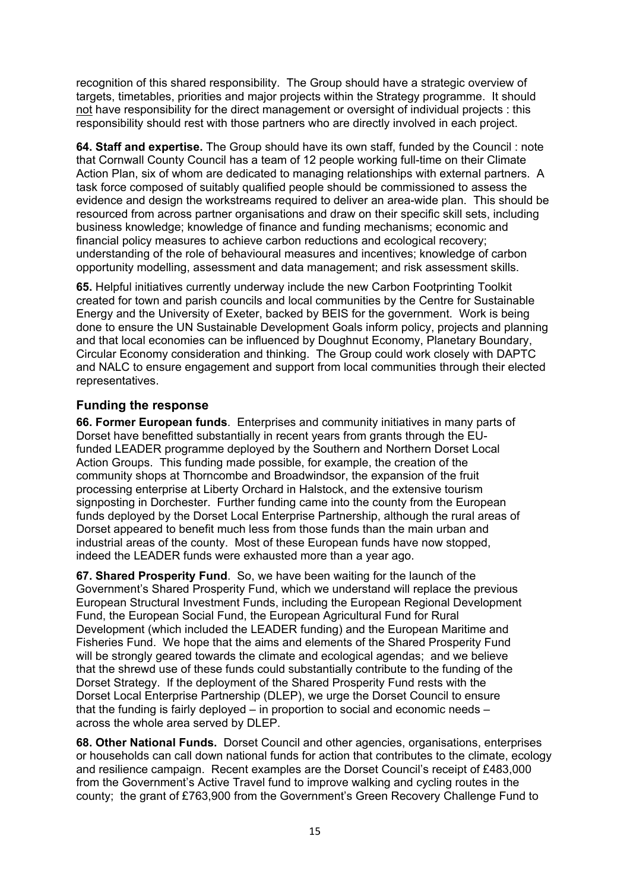recognition of this shared responsibility. The Group should have a strategic overview of targets, timetables, priorities and major projects within the Strategy programme. It should not have responsibility for the direct management or oversight of individual projects : this responsibility should rest with those partners who are directly involved in each project.

**64. Staff and expertise.** The Group should have its own staff, funded by the Council : note that Cornwall County Council has a team of 12 people working full-time on their Climate Action Plan, six of whom are dedicated to managing relationships with external partners. A task force composed of suitably qualified people should be commissioned to assess the evidence and design the workstreams required to deliver an area-wide plan. This should be resourced from across partner organisations and draw on their specific skill sets, including business knowledge; knowledge of finance and funding mechanisms; economic and financial policy measures to achieve carbon reductions and ecological recovery; understanding of the role of behavioural measures and incentives; knowledge of carbon opportunity modelling, assessment and data management; and risk assessment skills.

**65.** Helpful initiatives currently underway include the new Carbon Footprinting Toolkit created for town and parish councils and local communities by the Centre for Sustainable Energy and the University of Exeter, backed by BEIS for the government. Work is being done to ensure the UN Sustainable Development Goals inform policy, projects and planning and that local economies can be influenced by Doughnut Economy, Planetary Boundary, Circular Economy consideration and thinking. The Group could work closely with DAPTC and NALC to ensure engagement and support from local communities through their elected representatives.

# **Funding the response**

**66. Former European funds**. Enterprises and community initiatives in many parts of Dorset have benefitted substantially in recent years from grants through the EUfunded LEADER programme deployed by the Southern and Northern Dorset Local Action Groups. This funding made possible, for example, the creation of the community shops at Thorncombe and Broadwindsor, the expansion of the fruit processing enterprise at Liberty Orchard in Halstock, and the extensive tourism signposting in Dorchester. Further funding came into the county from the European funds deployed by the Dorset Local Enterprise Partnership, although the rural areas of Dorset appeared to benefit much less from those funds than the main urban and industrial areas of the county. Most of these European funds have now stopped, indeed the LEADER funds were exhausted more than a year ago.

**67. Shared Prosperity Fund**. So, we have been waiting for the launch of the Government's Shared Prosperity Fund, which we understand will replace the previous European Structural Investment Funds, including the European Regional Development Fund, the European Social Fund, the European Agricultural Fund for Rural Development (which included the LEADER funding) and the European Maritime and Fisheries Fund. We hope that the aims and elements of the Shared Prosperity Fund will be strongly geared towards the climate and ecological agendas; and we believe that the shrewd use of these funds could substantially contribute to the funding of the Dorset Strategy. If the deployment of the Shared Prosperity Fund rests with the Dorset Local Enterprise Partnership (DLEP), we urge the Dorset Council to ensure that the funding is fairly deployed – in proportion to social and economic needs – across the whole area served by DLEP.

**68. Other National Funds.** Dorset Council and other agencies, organisations, enterprises or households can call down national funds for action that contributes to the climate, ecology and resilience campaign. Recent examples are the Dorset Council's receipt of £483,000 from the Government's Active Travel fund to improve walking and cycling routes in the county; the grant of £763,900 from the Government's Green Recovery Challenge Fund to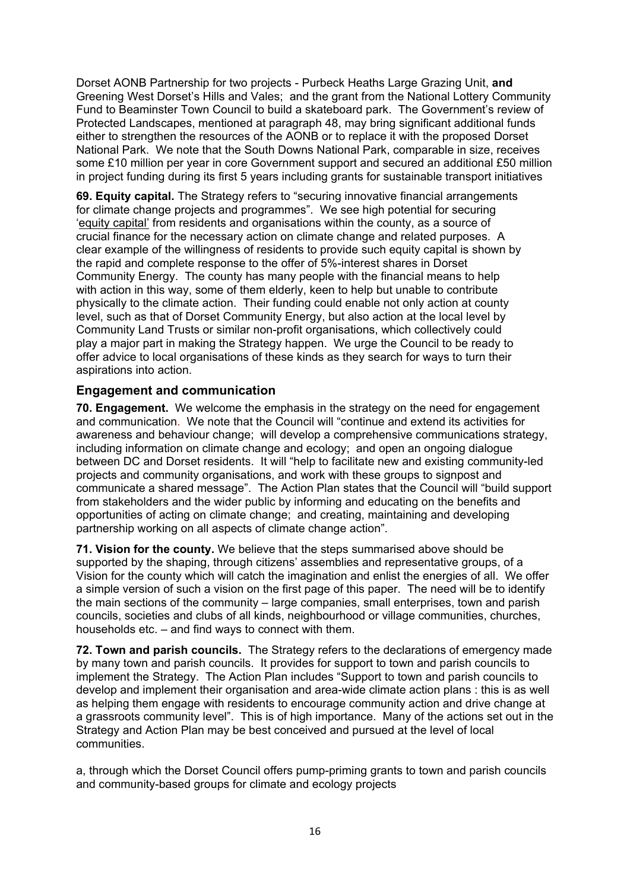Dorset AONB Partnership for two projects - Purbeck Heaths Large Grazing Unit, **and** Greening West Dorset's Hills and Vales; and the grant from the National Lottery Community Fund to Beaminster Town Council to build a skateboard park. The Government's review of Protected Landscapes, mentioned at paragraph 48, may bring significant additional funds either to strengthen the resources of the AONB or to replace it with the proposed Dorset National Park. We note that the South Downs National Park, comparable in size, receives some £10 million per year in core Government support and secured an additional £50 million in project funding during its first 5 years including grants for sustainable transport initiatives

**69. Equity capital.** The Strategy refers to "securing innovative financial arrangements for climate change projects and programmes". We see high potential for securing 'equity capital' from residents and organisations within the county, as a source of crucial finance for the necessary action on climate change and related purposes. A clear example of the willingness of residents to provide such equity capital is shown by the rapid and complete response to the offer of 5%-interest shares in Dorset Community Energy. The county has many people with the financial means to help with action in this way, some of them elderly, keen to help but unable to contribute physically to the climate action. Their funding could enable not only action at county level, such as that of Dorset Community Energy, but also action at the local level by Community Land Trusts or similar non-profit organisations, which collectively could play a major part in making the Strategy happen. We urge the Council to be ready to offer advice to local organisations of these kinds as they search for ways to turn their aspirations into action.

## **Engagement and communication**

**70. Engagement.** We welcome the emphasis in the strategy on the need for engagement and communication. We note that the Council will "continue and extend its activities for awareness and behaviour change; will develop a comprehensive communications strategy, including information on climate change and ecology; and open an ongoing dialogue between DC and Dorset residents. It will "help to facilitate new and existing community-led projects and community organisations, and work with these groups to signpost and communicate a shared message". The Action Plan states that the Council will "build support from stakeholders and the wider public by informing and educating on the benefits and opportunities of acting on climate change; and creating, maintaining and developing partnership working on all aspects of climate change action".

**71. Vision for the county.** We believe that the steps summarised above should be supported by the shaping, through citizens' assemblies and representative groups, of a Vision for the county which will catch the imagination and enlist the energies of all. We offer a simple version of such a vision on the first page of this paper. The need will be to identify the main sections of the community – large companies, small enterprises, town and parish councils, societies and clubs of all kinds, neighbourhood or village communities, churches, households etc. – and find ways to connect with them.

**72. Town and parish councils.** The Strategy refers to the declarations of emergency made by many town and parish councils. It provides for support to town and parish councils to implement the Strategy. The Action Plan includes "Support to town and parish councils to develop and implement their organisation and area-wide climate action plans : this is as well as helping them engage with residents to encourage community action and drive change at a grassroots community level". This is of high importance. Many of the actions set out in the Strategy and Action Plan may be best conceived and pursued at the level of local communities.

a, through which the Dorset Council offers pump-priming grants to town and parish councils and community-based groups for climate and ecology projects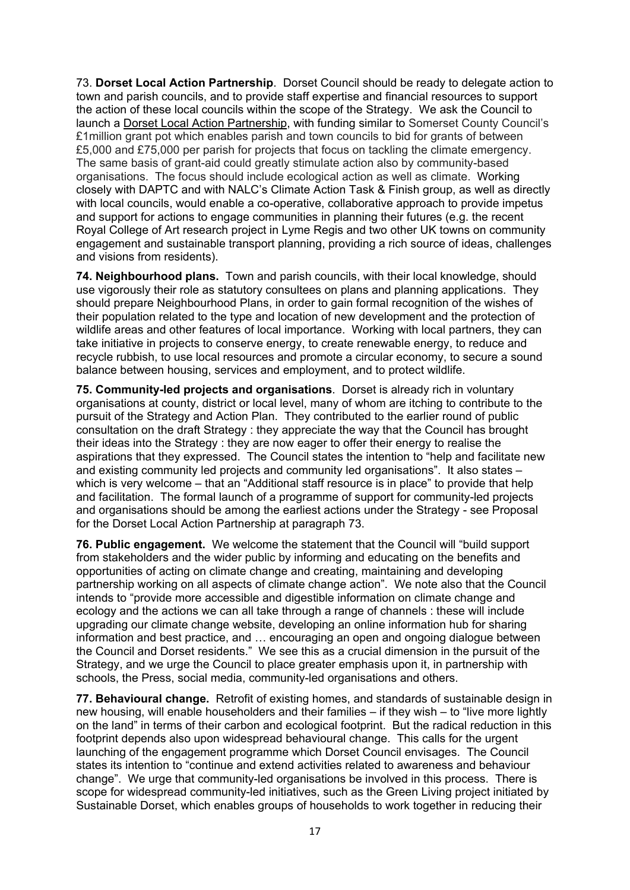73. **Dorset Local Action Partnership**. Dorset Council should be ready to delegate action to town and parish councils, and to provide staff expertise and financial resources to support the action of these local councils within the scope of the Strategy. We ask the Council to launch a Dorset Local Action Partnership, with funding similar to Somerset County Council's £1million grant pot which enables parish and town councils to bid for grants of between £5,000 and £75,000 per parish for projects that focus on tackling the climate emergency. The same basis of grant-aid could greatly stimulate action also by community-based organisations. The focus should include ecological action as well as climate. Working closely with DAPTC and with NALC's Climate Action Task & Finish group, as well as directly with local councils, would enable a co-operative, collaborative approach to provide impetus and support for actions to engage communities in planning their futures (e.g. the recent Royal College of Art research project in Lyme Regis and two other UK towns on community engagement and sustainable transport planning, providing a rich source of ideas, challenges and visions from residents).

**74. Neighbourhood plans.** Town and parish councils, with their local knowledge, should use vigorously their role as statutory consultees on plans and planning applications. They should prepare Neighbourhood Plans, in order to gain formal recognition of the wishes of their population related to the type and location of new development and the protection of wildlife areas and other features of local importance. Working with local partners, they can take initiative in projects to conserve energy, to create renewable energy, to reduce and recycle rubbish, to use local resources and promote a circular economy, to secure a sound balance between housing, services and employment, and to protect wildlife.

**75. Community-led projects and organisations**. Dorset is already rich in voluntary organisations at county, district or local level, many of whom are itching to contribute to the pursuit of the Strategy and Action Plan. They contributed to the earlier round of public consultation on the draft Strategy : they appreciate the way that the Council has brought their ideas into the Strategy : they are now eager to offer their energy to realise the aspirations that they expressed. The Council states the intention to "help and facilitate new and existing community led projects and community led organisations". It also states – which is very welcome – that an "Additional staff resource is in place" to provide that help and facilitation. The formal launch of a programme of support for community-led projects and organisations should be among the earliest actions under the Strategy - see Proposal for the Dorset Local Action Partnership at paragraph 73.

**76. Public engagement.** We welcome the statement that the Council will "build support from stakeholders and the wider public by informing and educating on the benefits and opportunities of acting on climate change and creating, maintaining and developing partnership working on all aspects of climate change action". We note also that the Council intends to "provide more accessible and digestible information on climate change and ecology and the actions we can all take through a range of channels : these will include upgrading our climate change website, developing an online information hub for sharing information and best practice, and … encouraging an open and ongoing dialogue between the Council and Dorset residents." We see this as a crucial dimension in the pursuit of the Strategy, and we urge the Council to place greater emphasis upon it, in partnership with schools, the Press, social media, community-led organisations and others.

**77. Behavioural change.** Retrofit of existing homes, and standards of sustainable design in new housing, will enable householders and their families – if they wish – to "live more lightly on the land" in terms of their carbon and ecological footprint. But the radical reduction in this footprint depends also upon widespread behavioural change. This calls for the urgent launching of the engagement programme which Dorset Council envisages. The Council states its intention to "continue and extend activities related to awareness and behaviour change". We urge that community-led organisations be involved in this process. There is scope for widespread community-led initiatives, such as the Green Living project initiated by Sustainable Dorset, which enables groups of households to work together in reducing their